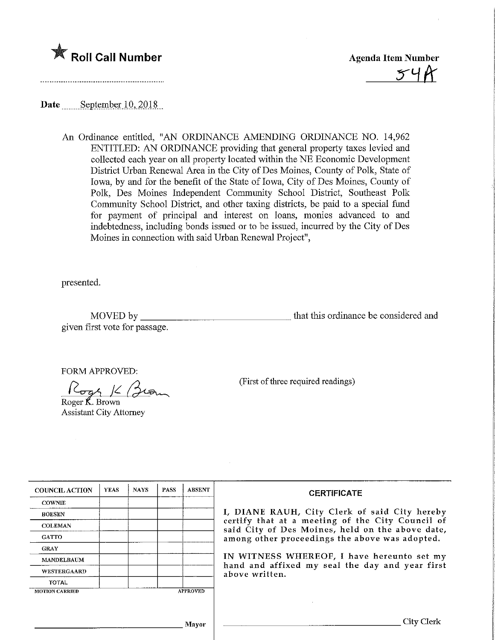

Roll Call Number<br>
The Agenda Item Number<br>
The Summunical Summunical Summunical Summunical Summunical Summunical Summunical Summunical Summunical Summunical Summunical Summunical Summunical Summunical Summunical Summunical

Date September  $10, 2018$ 

An Ordinance entitled, "AN ORDINANCE AMENDING ORDINANCE NO. 14,962 ENTITLED: AN ORDDMANCE providing that general property taxes levied and collected each year on all property located within the NE Economic Development District Urban Renewal Area in the City of Des Moines, County of Polk, State of Iowa, by and for the benefit of the State of Iowa, City of Des Moines, County of Polk, Des Moines Independent Community School District, Southeast Polk Community School District, and other taxing districts, be paid to a special fund for payment of principal and interest on loans, monies advanced to and indebtedness, including bonds issued or to be issued, incurred by the City of Des Moines in connection with said Urban Renewal Project",

presented.

MOVED by that this ordinance be considered and given first vote for passage.

FORM APPROVED:

 $|C_{\text{max}}|/$ Roger K. Brown

Assistant City Attorney

(First of three required readings)

| <b>COUNCIL ACTION</b>                    | <b>YEAS</b> | <b>NAYS</b> | <b>PASS</b> | <b>ABSENT</b> | <b>CERTIFICATE</b>                                                                                                                                                                                                                                                                                                         |
|------------------------------------------|-------------|-------------|-------------|---------------|----------------------------------------------------------------------------------------------------------------------------------------------------------------------------------------------------------------------------------------------------------------------------------------------------------------------------|
| <b>COWNIE</b>                            |             |             |             |               | I, DIANE RAUH, City Clerk of said City hereby<br>certify that at a meeting of the City Council of<br>said City of Des Moines, held on the above date,<br>among other proceedings the above was adopted.<br>IN WITNESS WHEREOF, I have hereunto set my<br>hand and affixed my seal the day and year first<br>above written. |
| <b>BOESEN</b>                            |             |             |             |               |                                                                                                                                                                                                                                                                                                                            |
| <b>COLEMAN</b>                           |             |             |             |               |                                                                                                                                                                                                                                                                                                                            |
| <b>GATTO</b>                             |             |             |             |               |                                                                                                                                                                                                                                                                                                                            |
| <b>GRAY</b>                              |             |             |             |               |                                                                                                                                                                                                                                                                                                                            |
| <b>MANDELBAUM</b>                        |             |             |             |               |                                                                                                                                                                                                                                                                                                                            |
| <b>WESTERGAARD</b>                       |             |             |             |               |                                                                                                                                                                                                                                                                                                                            |
| <b>TOTAL</b>                             |             |             |             |               |                                                                                                                                                                                                                                                                                                                            |
| <b>APPROVED</b><br><b>MOTION CARRIED</b> |             |             |             |               |                                                                                                                                                                                                                                                                                                                            |
|                                          |             |             |             |               |                                                                                                                                                                                                                                                                                                                            |
| Mavor                                    |             |             |             |               | City Clerk                                                                                                                                                                                                                                                                                                                 |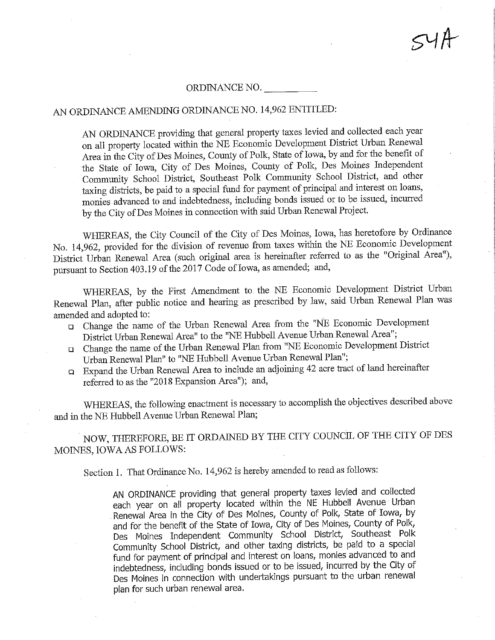### ORDINANCE NO.

### AN ORDINANCE AMENDING ORDINANCE NO. 14,962 ENTITLED:

AN ORDINANCE providing that general property taxes levied and collected each year on all property located within the NE Economic Development District Urban Renewal Area in the City of Des Moines, County of Polk, State of Iowa, by and for the benefit of the State of Iowa, City of Des Moines, County of Polk, Des Moines Independent Community School District, Southeast Polk Community School District, and other taxing districts, be paid to a special fund for payment of principal and interest on loans, monies advanced to and indebtedness, mcludmg bonds issued or to be issued, mcurred by the City of Des Moines in connection with said Urban Renewal Project.

WHEREAS, the City Council of the City of Des Moines, Iowa, has heretofore by Ordinance No. 14,962, provided for the division of revenue from taxes within the NE Economic Development District Urban Renewal Area (such original area is hereinafter referred to as the "Original Area"), pursuant to Section 403.19 of the 2017 Code of Iowa, as amended; and,

WHEREAS, by the First Amendment to the NE Economic Development District Urban Renewal Plan, after public notice and hearing as prescribed by law, said Urban Renewal Plan was amended and adopted to:

- a Change the name of the Urban Renewal Area from the "NE Economic Development District Urban Renewal Area" to the "NE Hubbell Avenue Urban Renewal Area";
- a Change the name of the Urban Renewal Plan from "NE Economic Development Disb'ict Urban Renewal Plan" to "NE Hubbell Avenue Urban Renewal Plan";
- a Expand the Urban Renewal Area to mclude an adjouiing 42 acre tract of land hereinafter referred to as the "2018 Expansion Area"); and,

WHEREAS, the following enactment is necessary to accomplish the objectives described above and in the NE Hubbell Avenue Urban Renewal Plan;

NOW, THEREFORE, BE IT ORDAINED BY THE CITY COUNCIL OF THE CITY OF DES MOINES, IOWA AS FOLLOWS:

Section 1. That Ordinance No. 14,962 is hereby amended to read as follows:

AN ORDINANCE providing that general property taxes levied and collected each year on all property located within the NE Hubbell Avenue Urban Renewal Area in the City of Des Moines, County of Polk, State of Iowa, by and for the benefit of the State of Iowa, City of Des Moines, County of Polk, Des Moines Independent Community School District, Southeast Polk Community School District, and other taxing districts, be paid to a special fund for payment of principal and interest on loans, monies advanced to and indebtedness, including bonds issued or to be issued, incurred by the City of Des Moines in connection with undertakings pursuant to the urban renewal plan for such urban renewal area.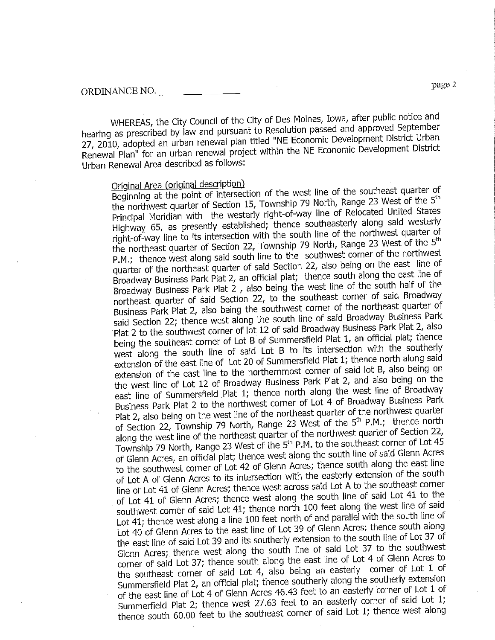WHEREAS, the City Council of the City of Des Moines, Iowa, after public notice and<br>hearing as prescribed by law and pursuant to Resolution passed and approved September 27, 2010, adopted an urban renewal plan titled "NE Economic Development District Urban  $2010$ , adopted an urban renewal project within the NE Economic Development District Rewal Plan" for an urban renewal project within the NE Economic District project within the NE Economic District Urban Renewal Area described as follows:

Original Area (original description)<br>Beginning at the point of intersection of the west line of the southeast quarter of the northwest quarter of Section 15, Township 79 North, Range 23 West of the 5<sup>th</sup> Principal Meridian with the westerly right-of-way line of Relocated United States Highway 65, as presently established; thence southeasterly along said westerly right-of-way line to its intersection with the south line of the northwest quarter of the northeast quarter of Section 22, Township 79 North, Range 23 West of the 5<sup>th</sup> P.M.; thence west along said south line to the southwest corner of the northwest quarter of the northeast quarter of said Section 22, also being on the east line of Broadway Business Park Plat 2, an official plat; thence south along the east line of Broadway Business Park Plat 2, also being the west line of the south half of the northeast quarter of said Section 22, to the southeast corner of said Broadway Business Park Plat 2, also being the southwest corner of the northeast quarter of said Section 22; thence west along the south line of said Broadway Business Park Plat 2 to the southwest corner of lot 12 of said Broadway Business Park Plat 2, also being the southeast corner of Lot B of Summersfield Plat 1, an official plat; thence west along the south line of said Lot B to its intersection with the southerly extension of the east line of Lot 20 of Summersfield Plat 1; thence north along said extension of the east line to the northernmost corner of said lot B, also being on the west line of Lot 12 of Broadway Business Park Plat 2, and also being on the east line of Summersfield Plat 1; thence north along the west line of Broadway Business Park Plat 2 to the northwest corner of Lot  $\frac{3}{4}$  of Broadway Business Park Plat 2, also being on the west line of the northeast quarter of the northwest quarter of Section 22, Township 79 North, Range 23 West of the  $5<sup>th</sup>$  P.M.; thence north along the west line of the northeast quarter of the northwest quarter of Section 22, Township 79 North, Range 23 West of the 5<sup>th</sup> P.M. to the southeast corner of Lot 45 of Glenn Acres, an official plat; thence west along the south line of said Glenn Acres to the southwest corner of Lot 42 of Glenn Acres; thence south along the east line of Lot A of Glenn Acres to its intersection with the easterly extension of the south line of Lot 41 of Glenn Acres; thence west across said Lot A to the southeast corner of Lot 41 of Glenn Acres; thence west along the south line of said Lot 41 to the southwest corner of said Lot 41; thence north 100 feet along the west line of said Lot 41; thence west along a line 100 feet north of and parallel with the south line of Lot 40 of Glenn Acres to the east line of Lot 39 of Glenn Acres; thence south along the east line of said Lot 39 and its southerly extension to the south line of Lot 37 of Glenn Acres; thence west along the south line of said Lot 37 to the southwest corner of said Lot 37; thence south along the east line of Lot 4 of Glenn Acres to the southeast corner of said Lot 4, also being an easterly corner of Lot 1 of Summersfield Plat 2, an official plat; thence southerly along the southerly extension of the east line of Lot 4 of Glenn Acres 46.43 feet to an easterly corner of Lot 1 of Summerfield Plat 2; thence west 27.63 feet to an easterly corner of said Lot 1;  $S$ ummerfield Plat  $Z_i$  thence west  $Z_i$  for all these south and  $\overline{S}$  for an east  $\overline{S}$  for  $\overline{S}$  for  $\overline{S}$  and  $\overline{S}$  for  $\overline{S}$  for  $\overline{S}$  for  $\overline{S}$  for  $\overline{S}$  for  $\overline{S}$  for  $\overline{S}$  for  $\overline{$ thence south 60.00 feet to the southeast corner of said  $\frac{1}{\sqrt{2}}$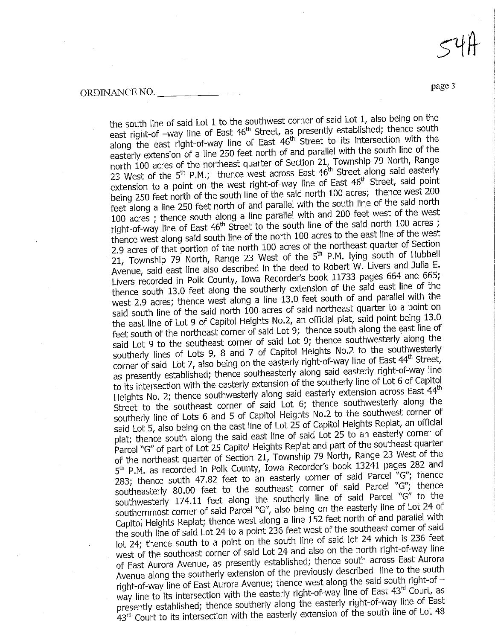the south line of said Lot 1 to the southwest corner of said Lot 1, also being on the<br>east right-of -way line of East 46<sup>th</sup> Street, as presently established; thence south east right-of-way line of East 46<sup>th</sup> Street to its intersection with the easterly extension of a line 250 feet north of and parallel with the south line of the north 100 acres of the northeast quarter of Section 21, Township 79 North, Range 23 West of the 5<sup>th</sup> P.M.; thence west across East 46<sup>th</sup> Street along said easterly extension to a point on the west right-of-way line of East 46<sup>th</sup> Street, said point being 250 feet north of the south line of the said north 100 acres; thence west 200 feet along a line 250 feet north of and parallel with the south line of the said north  $\overline{100}$  acres; thence south along a line parallel with and 200 feet west of the west right-of-way line of East 46<sup>th</sup> Street to the south line of the said north 100 acres; thence west along said south line of the north 100 acres to the east line of the west 2.9 acres of that portion of the north 100 acres of the northeast quarter of Section 21, Township 79 North, Range 23 West of the  $5<sup>th</sup>$  P.M. lying south of Hubbell Avenue, said east line also described in the deed to Robert W. Livers and Julia E. Livers recorded in Polk County, Iowa Recorder's book 11733 pages 664 and 665; thence south 13.0 feet along the southerly extension of the said east line of the west 2.9 acres; thence west along a line  $13.0$  feet south of and parallel with the said south line of the said north 100 acres of said northeast quarter to a point on the east line of Lot 9 of Capitol Heights No.2, an official plat, said point being 13.0 feet south of the northeast corner of said Lot 9; thence south along the east line of said Lot 9 to the southeast corner of said Lot 9; thence southwesterly along the southerly lines of Lots 9, 8 and 7 of Capitol Heights No.2 to the southwesterly corner of said Lot 7, also being on the easterly right-of-way line of East 44th Street, as presently established; thence southeasterly along said easterly right-of-way line to its intersection with the easterly extension of the southerly line of Lot 6 of Capitol Heights No. 2; thence southwesterly along said easterly extension across East 44th Street to the southeast corner of said Lot 6; thence southwesterly along the southerly line of Lots 6 and 5 of Capitol Heights No.2 to the southwest corner of said Lot 5, also being on the east line of Lot  $25$  of Capitol Heights Replat, an official plat; thence south along the said east line of said Lot 25 to an easterly corner of Parcel "G" of part of Lot 25 Capitol Heights Replat and part of the southeast quarter of the northeast quarter of Section 21, Township 79 North, Range 23 West of the 5<sup>th</sup> P.M. as recorded in Polk County, Iowa Recorder's book 13241 pages 282 and 283; thence south 47.82 feet to an easterly corner of said Parcel  $\tilde{C}$  "G"; thence southeasterly 80.00 feet to the southeast corner of said Parcel "G"; thence southwesterly 174.11 feet along the southerly line of said Parcel " $G''$  to the southernmost corner of said Parcel "G", also being on the easterly line of Lot 24 of Capitol Heights Replat; thence west along a line  $152$  feet north of and parallel with the south line of said Lot 24 to a point 236 feet west of the southeast corner of said lot 24; thence south to a point on the south line of said lot 24 which is 236 feet west of the southeast corner of said Lot 24 and also on the north right-of-way line of East Aurora Avenue, as presently established; thence south across East Aurora Avenue along the southerly extension of the previously described line to the south right-of-way line of East Aurora Avenue; thence west along the said south right-of way line to its intersection with the easterly right-of-way line of East 43rd Court, as presently established; thence southerly along the easterly right-of-way line of East presently established; thence southerly extension of the south line of Lot 48 43rd Court to its intersection with the easterly extension of the south iine of Lot 48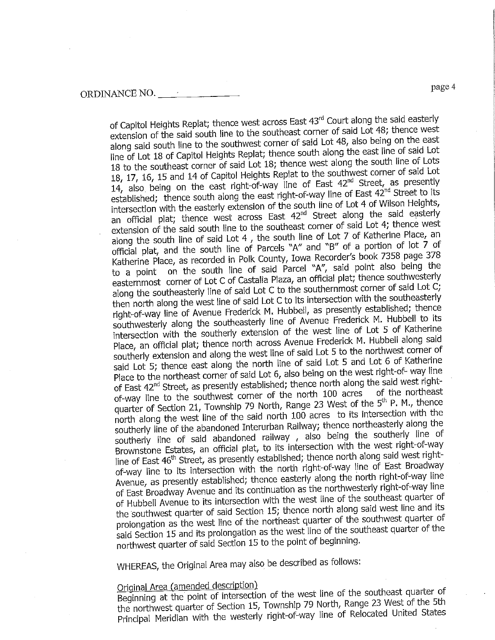of Capitol Heights Replat; thence west across East 43<sup>rd</sup> Court along the said easterly<br>extension of the said south line to the southeast corner of said Lot 48; thence west along said south line to the southwest corner of said Lot 48, also being on the east line of Lot 18 of Capitol Heights Replat; thence south along the east line of said Lot 18 to the southeast corner of said Lot 18; thence west along the south line of Lots 18, 17, 16, 15 and 14 of Capitol Heights Replat to the southwest corner of said Lot 14, also being on the east right-of-way line of East  $42<sup>nd</sup>$  Street, as presently established; thence south along the east right-of-way line of East 42<sup>nd</sup> Street to its intersection with the easterly extension of the south line of Lot 4 of Wilson Heights, intersection with the east of the extension of the easterly an official plat; thence west across East 42<sup>nd</sup> Street along the said easterly extension of the said south line to the southeast corner of said Lot 4; thence west along the south line of said Lot 4, the south line of Lot 7 of Katherine Place, an official plat, and the south line of Parcels "A" and "B" of a portion of lot  $\overline{7}$  of Katherine Place, as recorded in Polk County, Iowa Recorder's book 7358 page 378 to a point on the south line of said Parcel "A", said point also being the easternmost corner of Lot C of Castalia Plaza, an official plat; thence southwesterly along the southeasterly line of said Lot C to the southernmost corner of said Lot C; then north along the west line of said Lot C to its intersection with the southeasterly right-of-way line of Avenue Frederick M. Hubbell, as presently established; thence southwesterly along the southeasterly line of Avenue Frederick M. Hubbell to its intersection with the southerly extension of the west line of Lot 5 of Katherine Place, an official plat; thence north across Avenue Frederick M. Hubbell along said southerly extension and along the west line of said Lot 5 to the northwest corner of said Lot 5; thence east along the north line of said Lot 5 and Lot 6 of Katherine Place to the northeast corner of said Lot 6, also being on the west right-of- way line of East  $42<sup>nd</sup>$  Street, as presently established; thence north along the said west rightof East 72 Street, as presently established; the north 100 acres of the northeast quarter of Section 21, Township 79 North, Range 23 West of the 5<sup>th</sup> P. M., thence north along the west line of the said north  $10\bar{0}$  acres to its intersection with the southerly line of the abandoned Interurban Railway; thence northeasterly along the southerly line of said abandoned railway, also being the southerly line of Brownstone Estates, an official plat, to its intersection with the west right-of-way line of East 46<sup>th</sup> Street, as presently established; thence north along said west rightof-way line to its intersection with the north right-of-way line of East Broadway Avenue, as presently established; thence easterly along the north right-of-way line of East Broadway Avenue and its continuation as the northwesterly right-of-way line of Hubbell Avenue to its intersection with the west line of the southeast quarter of the southwest quarter of said Section 15; thence north along said west line and its prolongation as the west line of the northeast quarter of the southwest quarter of said Section 15 and its prolongation as the west line of the southeast quarter of the said Section 15 and its problem as the west line of the south of the dinning. northwest quarter of said Section 15 to the point  $\cdots$  by

WHEREAS, the Original Area may also be described as follows:

Original Area (amended description)<br>Beginning at the point of intersection of the west line of the southeast quarter of the northwest quarter of Section 15, Township 79 North, Range 23 West of the 5th the northwest quarter of Section 15, Township 79 Northway line of Relocated United States Principal Meridian with the westerly right-of-way line of Relocated United States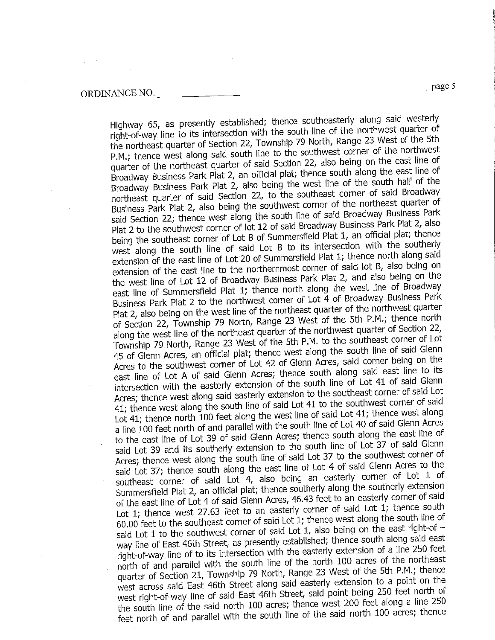P.M.; thence west along said south line to the southwest corner of the northwest quarter of the northeast quarter of said Section 22, also being on the east line of Broadway Business Park Plat 2, an official plat; thence south along the east line of Broadway Business Park Plat 2, also being the west line of the south half of the

northeast quarter of said Section 22, to the southeast corner of said Broadway Business Park Plat 2, also being the southwest corner of the northeast quarter of said Section 22; thence west along the south line of said Broadway Business Park Plat 2 to the southwest corner of lot 12 of said Broadway Business Park Plat 2, also being the southeast corner of Lot B of Summersfield Plat 1, an official plat; thence west along the south line of said Lot B to its intersection with the southerly extension of the east line of Lot 20 of Summersfield Plat 1; thence north along said extension of the east line to the northernmost corner of said lot B, also being on the west line of Lot 12 of Broadway Business Park Plat 2, and also being on the east line of Summersfield Plat 1; thence north along the west line of Broadway Business Park Plat 2 to the northwest corner of Lot  $\overline{4}$  of Broadway Business Park Plat 2, also being on the west line of the northeast quarter of the northwest quarter of Section 22, Township 79 North, Range 23 West of the 5th P.M.; thence north along the west line of the northeast quarter of the northwest quarter of Section 22, Township 79 North, Range 23 West of the 5th P.M. to the southeast corner of Lot 45 of Glenn Acres, an official plat; thence west along the south line of said Glenn Acres to the southwest corner of Lot 42 of Glenn Acres, said corner being on the east line of Lot A of said Gienn Acres; thence south along said east line to its intersection with the easterly extension of the south line of Lot 41 of said Glenn Acres; thence west along said easterly extension to the southeast corner of said Lot 41; thence west along the south line of said Lot 41 to the southwest corner of said Lot 41; thence north 100 feet along the west line of said Lot 41; thence west along a line 100 feet north of and parallel with the south line of Lot 40 of said Glenn Acres to the east line of Lot 39 of said Glenn Acres; thence south along the east line of said Lot 39 and its southerly extension to the south line of Lot 37 of said Glenn Acres; thence west along the south line of said Lot 37 to the southwest corner of said Lot 37; thence south along the east line of Lot 4 of said Glenn Acres to the southeast corner of said Lot 4, also being an easterly corner of Lot 1 of Summersfield Plat 2, an official plat; thence southerly along the southerly extension of the east line of Lot 4 of said Glenn Acres, 46.43 feet to an easterly corner of said Lot 1; thence west 27.63 feet to an easterly corner of said Lot 1; thence south 60.00 feet to the southeast corner of said Lot 1; thence west along the south line of said Lot 1 to the southwest corner of said Lot 1, also being on the east right-of  $$ way line of East 46th Street, as presently established; thence south along said east right-of-way line of to its intersection with the easterly extension of a line 250 feet north of and parallel with the south line of the north 100 acres of the northeast quarter of Section 21, Township 79 North, Range 23 West of the 5th P.M.; thence west across said East 46th Street along said easterly extension to a point on the west right-of-way line of said East 46th Street, said point being 250 feet north of the south line of the said north 100 acres, thence west 200 feet along a line 250 the south line of the said north 100 detectors and  $\alpha$  the said north 100 acres; thence feet norul of and parallel with the south line of the same said north 100 acres; thence

Highway 65, as presently established; thence southeasterly along said westerly<br>right-of-way line to its intersection with the south line of the northwest quarter of the northeast quarter of Section 22, Township 79 North, Range 23 West of the 5th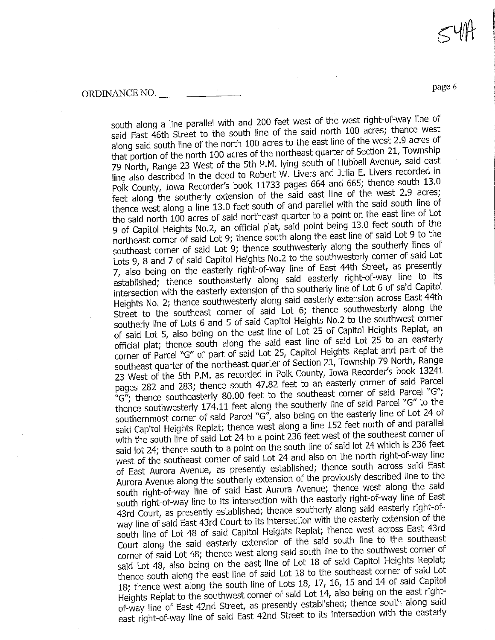DINANCE NO.

south along a line parallel with and 200 feet west of the west right-of-way line of<br>said East 46th Street to the south line of the said north 100 acres; thence west along said south line of the north 100 acres to the east line of the west 2.9 acres of that portion of the north 100 acres of the northeast quarter of Section 21, Township 79 North, Range 23 West of the 5th P.M. lying south of Hubbell Avenue, said east line also described in the deed to Robert W. Livers and Julia E. Livers recorded in Polk County, Iowa Recorder's book 11733 pages 664 and 665; thence south 13.0 feet along the southerly extension of the said east line of the west 2.9 acres; thence west along a line 13.0 feet south of and parallel with the said south line of the said north 100 acres of said northeast quarter to a point on the east line of Lot 9 of Capitol Heights No.2, an official plat, said point being 13.0 feet south of the northeast corner of said Lot 9; thence south along the east line of said Lot 9 to the southeast corner of said Lot 9; thence southwesterly along the southerly lines of Lots 9, 8 and 7 of said Capitol Heights No.2 to the southwesterly corner of said Lot 7, also being on the easterly right-of-way line of East 44th Street, as presently established; thence southeasterly along said easterly right-of-way line to its intersection with the easterly extension of the southerly line of Lot 6 of said Capitol Heights No. 2; thence southwesterly along said easterly extension across East 44th Street to the southeast corner of said Lot 6; thence southwesterly along the southerly line of Lots 6 and 5 of said Capitol Heights No.2 to the southwest corner of said Lot 5, also being on the east line of Lot 25 of Capitol Heights Replat, an official plat; thence south along the said east line of said Lot 25 to an easterly corner of Parcel "G" of part of said Lot 25, Capitol Heights Replat and part of the southeast quarter of the northeast quarter of Section 21, Township 79 North, Range 23 West of the 5th P.M. as recorded in Polk County, Iowa Recorder's book 13241 pages 282 and 283; thence south 47.82 feet to an easterly corner of said Parcel " $G''$ ; thence southeasterly 80.00 feet to the southeast corner of said Parcel " $G''$ ; thence southwesterly 174.11 feet along the southerly line of said Parcel "G" to the southernmost corner of said Parcel "G", also being on the easterly line of Lot 24 of said Capitol Heights Replat; thence west along a line 152 feet north of and parallel with the south line of said Lot 24 to a point 236 feet west of the southeast corner of said lot 24; thence south to a point on the south line of said lot 24 which is 236 feet west of the southeast corner of said Lot 24 and also on the north right-of-way line of East Aurora Avenue, as presently established; thence south across said East Aurora Avenue along the southerly extension of the previously described line to the south right-of-way line of said East Aurora Avenue; thence west along the said south right-of-way line to its intersection with the easterly right-of-way line of East 43rd Court, as presently established; thence southerly along said easterly right-ofway line of said East 43rd Court to its intersection with the easterly extension of the south line of Lot 48 of said Capitol Heights Replat; thence west across East 43rd Court along the said easterly extension of the said south line to the southeast corner of said Lot 48; thence west along said south line to the southwest corner of said Lot 48, also being on the east line of Lot 18 of said Capitol Heights Replat; thence south along the east line of said Lot 18 to the southeast corner of said Lot 18; thence west along the south line of Lots 18, 17, 16, 15 and 14 of said Capitol Heights Replat to the southwest corner of said Lot 14, also being on the east rightof-way line of East 42nd Street, as presently established; thence south along said of-way line of East 42nd Street, as presently establishing. east right-of-way line of said East 42nd Street to its inter-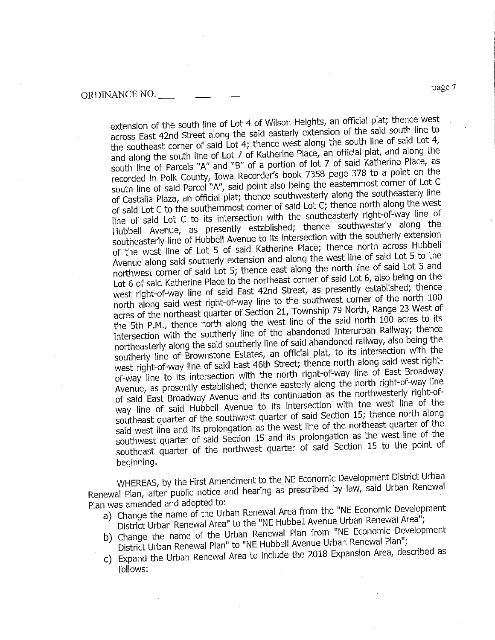extension of the south line of Lot 4 of Wilson Heights, an official plat; thence west<br>across East 42nd Street along the said easterly extension of the said south line to the southeast corner of said Lot 4; thence west along the south line of said Lot 4, and along the south line of Lot 7 of Katherine Place, an official plat, and along the south line of Parcels "A" and "B" of a portion of lot 7 of said Katherine Place, as recorded in Polk County, Iowa Recorder's book 7358 page 378 to a point on the south line of said Parcel "A", said point also being the easternmost corner of Lot C of Castalia Plaza, an official plat; thence southwesterly along the southeasterly line of said Lot C to the southernmost corner of said Lot C; thence north along the west line of said Lot C to its intersection with the southeasterly right-of-way line of Hubbell Avenue, as presently established; thence southwesterly along the southeasterly line of Hubbell Avenue to its intersection with the southerly extension of the west line of Lot 5 of said Katherine Place; thence north across Hubbell Avenue along said southerly extension and along the west line of said Lot 5 to the northwest corner of said Lot 5; thence east along the north line of said Lot 5 and Lot 6 of said Katherine Place to the northeast corner of said Lot 6, also being on the west right-of-way line of said East 42nd Street, as presently established, thence north along said west right-of-way line to the southwest corner of the north 100 acres of the northeast quarter of Section 21, Township 79 North, Range 23 West of the 5th P.M., thence north along the west line of the said north 100 acres to its intersection with the southerly line of the abandoned Interurban Railway; thence northeasterly along the said southerly line of said abandoned railway, also being the southerly line of Brownstone Estates, an official plat, to its intersection with the west right-of-way line of said East 46th Street; thence north along said west rightof-way line to its intersection with the north right-of-way line of East Broadway Avenue, as presently established; thence easterly along the north right-of-way line of said East Broadway Avenue and its continuation as the northwesterly right-ofway line of said Hubbell Avenue to its intersection with the west line of the southeast quarter of the southwest quarter of said Section 15; thence north along said west line and its prolongation as the west line of the northeast quarter of the southwest quarter of said Section 15 and its prolongation as the west line of the  $\frac{1}{2}$  guarder of said Section 25 and its property of said Section 15 to the point of southeast quarter of the northwest quarter of said Section 15 to the point of

beginning.<br>WHEREAS, by the First Amendment to the NE Economic Development District Urban WHEREAS, by the First American to First American accrited by law, said Urban Renewal  $R$ enewal Plan, after public notice and hearing as preserved by lave  $\ell$  said Urban Renewal Renewal Renewal Renewal Renewal Renewal Renewal Renewal Renewal Renewal Renewal Renewal Renewal Renewal Renewal Renewal Renewal

- Plan was amended and adopted to:<br>
a) Change the name of the Urban Renewal Area from the "NE Economic Development District Urban Renewal Area" to the "NE Hubbell Avenue Urban Renewal Area";
	- b) Change the name of the Urban Renewal Plan from "NE Economic Development District Urban Renewal Plan" to "NE Hubbell Avenue Urban Renewal Plan";
	- $D$ Burict Urban Renewal Plan" to "NE Hubbell"  $c$ ) Expand the Urban Renewal Area to include the  $2<sub>1</sub>$ follows: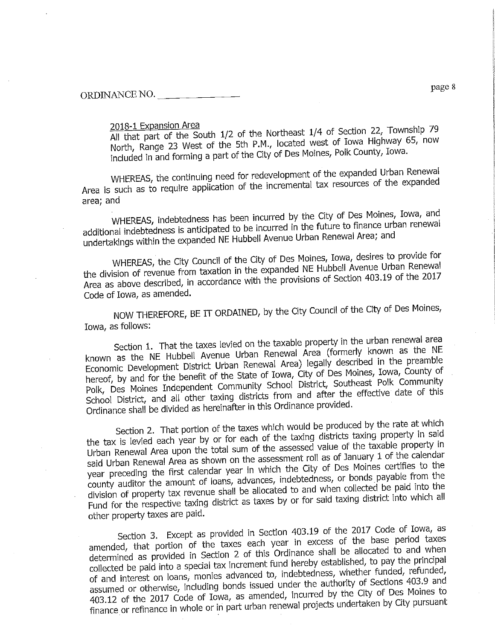2018-1 Expansion Area<br>All that part of the South 1/2 of the Northeast 1/4 of Section 22, Township 79 North, Range 23 West of the 5th P.M., located west of Iowa Highway 65, now  $M_{\odot}$  Range 23 West of the star P.M., located west  $\sim$  10 Maines. Polk County, Iowa. included in and forming a part of the City  $\sim$ 

THEREAS, the continuum independent of the incremental tax resources of the expanded  $\overline{AB}$  is such as to require application of the incremental tax resources of the expanding tax resources of the expanded density of the expanded of the expanding of the expanded of the expanded of the expanding of the e

area; and<br>WHEREAS, indebtedness has been incurred by the City of Des Moines, Iowa, and additional indebtedness is anticipated to be incurred in the future to finance urban renewal altional indebtedness is anticipated to be included to finance the future  $\alpha$  and  $\alpha$  and  $\alpha$  in the future of  $\alpha$  in the future of  $\alpha$  in the future of  $\alpha$  in the future of  $\alpha$  in the future of  $\alpha$  in the future dertakings within the expanded NE Hubbeit Area; and the new Renewal Area; and area; and area; and are new Renewal Area; and area; and area; and area; and area; and area; and area; and area; and area; and area; and area; an

WHEREAS, the City Council of the City of Des Moines, Iowa, desires to provide for<br>the division of revenue from taxation in the expanded NE Hubbell Avenue Urban Renewal  $\epsilon$  division of revenue in the division in the expanding ME Hubbert Avenue Of Section 403.19 of the 2017 Area as above described, in accordance with the provisions of Section 403.19 of the 2017 Code of Iowa, as amended.

NOW THEREFORE, BE IT ORDAINED, by the City Council of the City of Des Moines,

Iowa, as follows:<br>Section 1. That the taxes levied on the taxable property in the urban renewal area known as the NE Hubbell Avenue Urban Renewal Area (formerly known as the NE Economic Development District Urban Renewal Area) legally described in the preamble hereof, by and for the benefit of the State of Iowa, City of Des Moines, Iowa, County of Polk, Des Moines Independent Community School District, Southeast Polk Community pik, Des Moines Independent Community School District  $\alpha$  District, and an other taxing districts from a  $\alpha$  and  $\alpha$  and  $\alpha$  this effective data of this effective data of this effective data of this effective data of this effective data of the effective data of this effe

Ordinance shall be divided as hereinafter in this Ordinance provided.<br>Section 2. That portion of the taxes which would be produced by the rate at which the tax is levied each year by or for each of the taxing districts taxing property in said Urban Renewal Area upon the total sum of the assessed value of the taxable property in said Urban Renewal Area as shown on the assessment roll as of January 1 of the calendar year preceding the first calendar year in which the City of Des Moines certifies to the county auditor the amount of loans, advances, indebtedness, or bonds payable from the division of property tax revenue shall be allocated to and when collected be paid into the insion of property tax revenue shall be allocated to and taxing district into which all  $F_{\text{H}}$  for the respective taxing district as taxes by  $F_{\text{H}}$ 

other property taxes are paid.<br>Section 3. Except as provided in Section 403.19 of the 2017 Code of Iowa, as amended, that portion of the taxes each year in excess of the base period taxes determined as provided in Section 2 of this Ordinance shall be allocated to and when collected be paid into a special tax increment fund hereby established, to pay the principal of and interest on loans, monies advanced to, indebtedness, whether funded, refunded, assumed or otherwise, including bonds issued under the authority of Sections 403.9 and 403.12 of the 2017 Code of Iowa, as amended, incurred by the City of Des Moines to 403.12 or the 2017 Code of Iowa, as amended, included, independent by City pursuant finance or remiance in whole or in part urban  $\mathbb{R}$